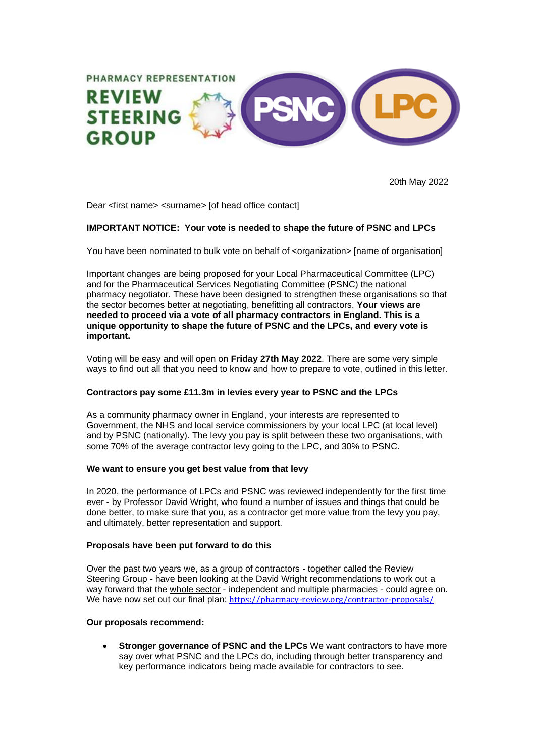

20th May 2022

Dear <first name> <surname> [of head office contact]

## **IMPORTANT NOTICE: Your vote is needed to shape the future of PSNC and LPCs**

You have been nominated to bulk vote on behalf of <organization> [name of organisation]

Important changes are being proposed for your Local Pharmaceutical Committee (LPC) and for the Pharmaceutical Services Negotiating Committee (PSNC) the national pharmacy negotiator. These have been designed to strengthen these organisations so that the sector becomes better at negotiating, benefitting all contractors. **Your views are needed to proceed via a vote of all pharmacy contractors in England. This is a unique opportunity to shape the future of PSNC and the LPCs, and every vote is important.**

Voting will be easy and will open on **Friday 27th May 2022**. There are some very simple ways to find out all that you need to know and how to prepare to vote, outlined in this letter.

#### **Contractors pay some £11.3m in levies every year to PSNC and the LPCs**

As a community pharmacy owner in England, your interests are represented to Government, the NHS and local service commissioners by your local LPC (at local level) and by PSNC (nationally). The levy you pay is split between these two organisations, with some 70% of the average contractor levy going to the LPC, and 30% to PSNC.

#### **We want to ensure you get best value from that levy**

In 2020, the performance of LPCs and PSNC was reviewed independently for the first time ever - by Professor David Wright, who found a number of issues and things that could be done better, to make sure that you, as a contractor get more value from the levy you pay, and ultimately, better representation and support.

#### **Proposals have been put forward to do this**

Over the past two years we, as a group of contractors - together called the Review Steering Group - have been looking at the David Wright recommendations to work out a way forward that the whole sector - independent and multiple pharmacies - could agree on. We have now set out our final plan: <https://pharmacy-review.org/contractor-proposals/>

#### **Our proposals recommend:**

• **Stronger governance of PSNC and the LPCs** We want contractors to have more say over what PSNC and the LPCs do, including through better transparency and key performance indicators being made available for contractors to see.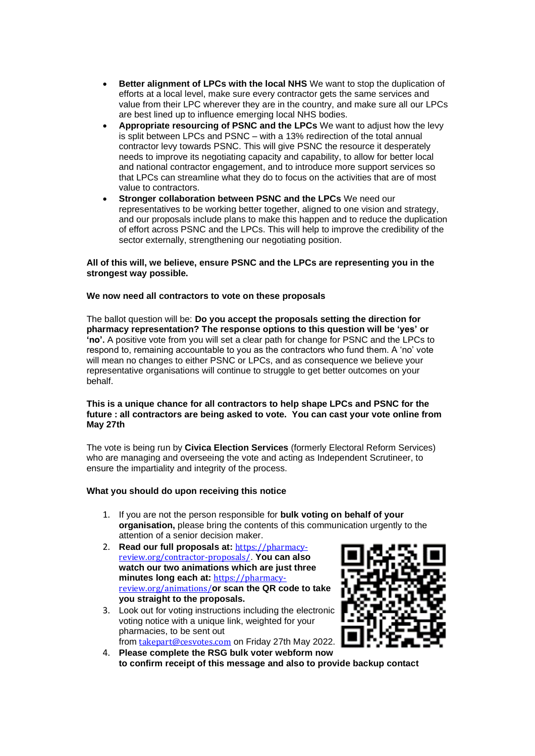- **Better alignment of LPCs with the local NHS** We want to stop the duplication of efforts at a local level, make sure every contractor gets the same services and value from their LPC wherever they are in the country, and make sure all our LPCs are best lined up to influence emerging local NHS bodies.
- **Appropriate resourcing of PSNC and the LPCs** We want to adjust how the levy is split between LPCs and PSNC – with a 13% redirection of the total annual contractor levy towards PSNC. This will give PSNC the resource it desperately needs to improve its negotiating capacity and capability, to allow for better local and national contractor engagement, and to introduce more support services so that LPCs can streamline what they do to focus on the activities that are of most value to contractors.
- **Stronger collaboration between PSNC and the LPCs** We need our representatives to be working better together, aligned to one vision and strategy, and our proposals include plans to make this happen and to reduce the duplication of effort across PSNC and the LPCs. This will help to improve the credibility of the sector externally, strengthening our negotiating position.

## **All of this will, we believe, ensure PSNC and the LPCs are representing you in the strongest way possible.**

## **We now need all contractors to vote on these proposals**

The ballot question will be: **Do you accept the proposals setting the direction for pharmacy representation? The response options to this question will be 'yes' or 'no'.** A positive vote from you will set a clear path for change for PSNC and the LPCs to respond to, remaining accountable to you as the contractors who fund them. A 'no' vote will mean no changes to either PSNC or LPCs, and as consequence we believe your representative organisations will continue to struggle to get better outcomes on your behalf.

#### **This is a unique chance for all contractors to help shape LPCs and PSNC for the future : all contractors are being asked to vote. You can cast your vote online from May 27th**

The vote is being run by **Civica Election Services** (formerly Electoral Reform Services) who are managing and overseeing the vote and acting as Independent Scrutineer, to ensure the impartiality and integrity of the process.

# **What you should do upon receiving this notice**

- 1. If you are not the person responsible for **bulk voting on behalf of your organisation,** please bring the contents of this communication urgently to the attention of a senior decision maker.
- 2. **Read our full proposals at:** [https://pharmacy](https://pharmacy-review.org/contractor-proposals/)[review.org/contractor-proposals/](https://pharmacy-review.org/contractor-proposals/). **You can also watch our two animations which are just three minutes long each at:** [https://pharmacy](https://pharmacy-review.org/animations/)[review.org/animations/](https://pharmacy-review.org/animations/)**or scan the QR code to take you straight to the proposals.**
- 3. Look out for voting instructions including the electronic voting notice with a unique link, weighted for your pharmacies, to be sent out from [takepart@cesvotes.com](mailto:takepart@cesvotes.com) on Friday 27th May 2022.



4. **Please complete the RSG bulk voter webform now to confirm receipt of this message and also to provide backup contact**